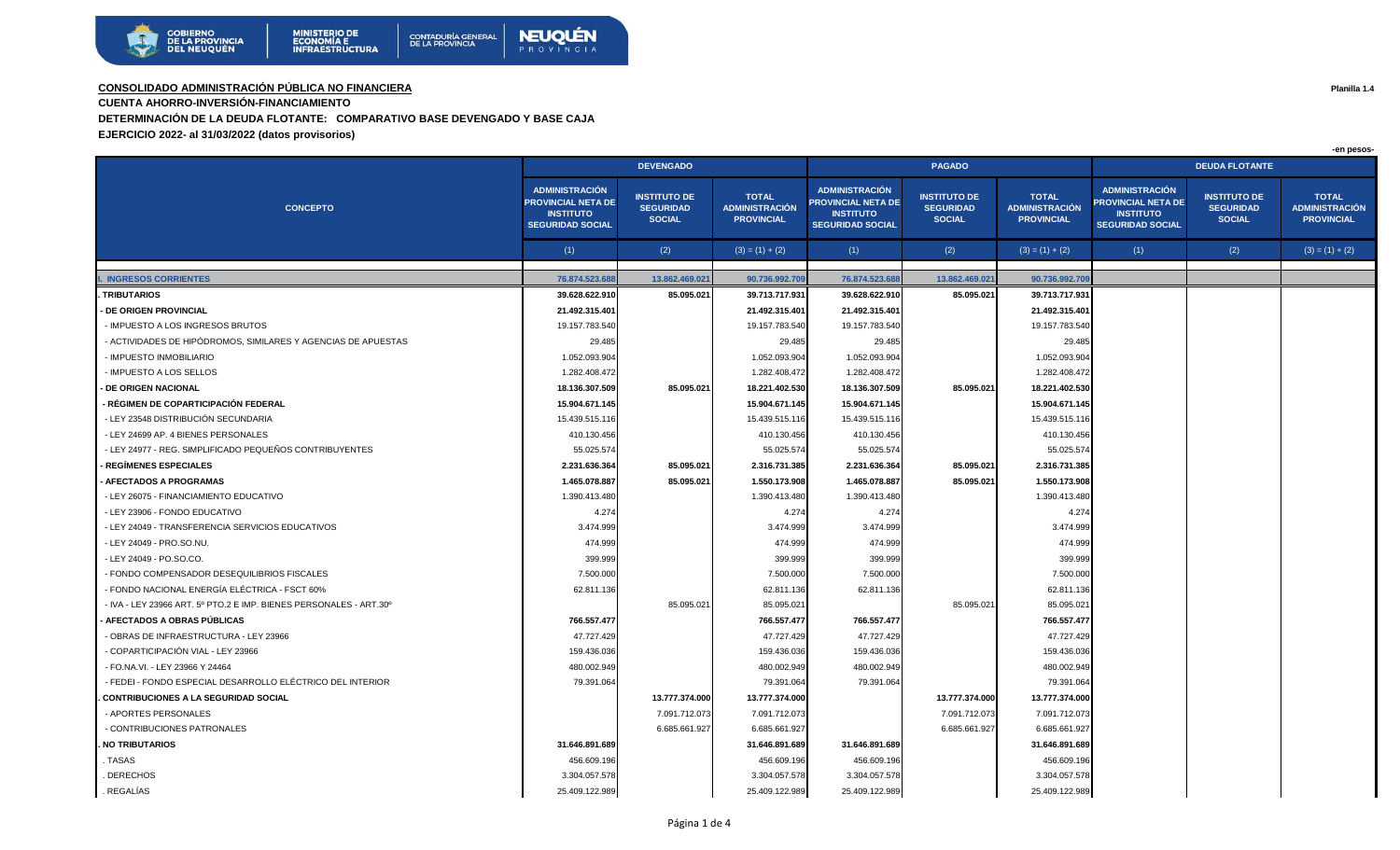

## **CONSOLIDADO ADMINISTRACIÓN PÚBLICA NO FINANCIERA Planilla 1.4**

**CUENTA AHORRO-INVERSIÓN-FINANCIAMIENTO** 

**DETERMINACIÓN DE LA DEUDA FLOTANTE: COMPARATIVO BASE DEVENGADO Y BASE CAJA**

**EJERCICIO 2022- al 31/03/2022 (datos provisorios)**

|                                                                    |                                                                                            |                                                          |                                                            |                                                                                                   |                                                          |                                                            |                                                                                                   |                                                          | -en pesos-                                                 |  |  |
|--------------------------------------------------------------------|--------------------------------------------------------------------------------------------|----------------------------------------------------------|------------------------------------------------------------|---------------------------------------------------------------------------------------------------|----------------------------------------------------------|------------------------------------------------------------|---------------------------------------------------------------------------------------------------|----------------------------------------------------------|------------------------------------------------------------|--|--|
|                                                                    | <b>DEVENGADO</b>                                                                           |                                                          |                                                            |                                                                                                   | <b>PAGADO</b>                                            |                                                            | <b>DEUDA FLOTANTE</b>                                                                             |                                                          |                                                            |  |  |
| <b>CONCEPTO</b>                                                    | <b>ADMINISTRACIÓN</b><br>PROVINCIAL NETA DE<br><b>INSTITUTO</b><br><b>SEGURIDAD SOCIAL</b> | <b>INSTITUTO DE</b><br><b>SEGURIDAD</b><br><b>SOCIAL</b> | <b>TOTAL</b><br><b>ADMINISTRACIÓN</b><br><b>PROVINCIAL</b> | <b>ADMINISTRACIÓN</b><br><b>PROVINCIAL NETA DE</b><br><b>INSTITUTO</b><br><b>SEGURIDAD SOCIAL</b> | <b>INSTITUTO DE</b><br><b>SEGURIDAD</b><br><b>SOCIAL</b> | <b>TOTAL</b><br><b>ADMINISTRACIÓN</b><br><b>PROVINCIAL</b> | <b>ADMINISTRACIÓN</b><br><b>PROVINCIAL NETA DE</b><br><b>INSTITUTO</b><br><b>SEGURIDAD SOCIAL</b> | <b>INSTITUTO DE</b><br><b>SEGURIDAD</b><br><b>SOCIAL</b> | <b>TOTAL</b><br><b>ADMINISTRACIÓN</b><br><b>PROVINCIAL</b> |  |  |
|                                                                    | (1)                                                                                        | (2)                                                      | $(3) = (1) + (2)$                                          | (1)                                                                                               | (2)                                                      | $(3) = (1) + (2)$                                          | (1)                                                                                               | (2)                                                      | $(3) = (1) + (2)$                                          |  |  |
|                                                                    |                                                                                            |                                                          |                                                            |                                                                                                   |                                                          |                                                            |                                                                                                   |                                                          |                                                            |  |  |
| <b>INGRESOS CORRIENTES</b>                                         | 76.874.523.68                                                                              | 13.862.469.021                                           | 90.736.992.70                                              | 76.874.523.68                                                                                     | 13.862.469.021                                           | 90.736.992.70                                              |                                                                                                   |                                                          |                                                            |  |  |
| <b>TRIBUTARIOS</b>                                                 | 39.628.622.910                                                                             | 85.095.021                                               | 39.713.717.931                                             | 39.628.622.910                                                                                    | 85.095.021                                               | 39.713.717.93                                              |                                                                                                   |                                                          |                                                            |  |  |
| - DE ORIGEN PROVINCIAL                                             | 21.492.315.401                                                                             |                                                          | 21.492.315.401                                             | 21.492.315.401                                                                                    |                                                          | 21.492.315.40                                              |                                                                                                   |                                                          |                                                            |  |  |
| - IMPUESTO A LOS INGRESOS BRUTOS                                   | 19.157.783.540                                                                             |                                                          | 19.157.783.540                                             | 19.157.783.540                                                                                    |                                                          | 19.157.783.54                                              |                                                                                                   |                                                          |                                                            |  |  |
| - ACTIVIDADES DE HIPÓDROMOS, SIMILARES Y AGENCIAS DE APUESTAS      | 29.485                                                                                     |                                                          | 29.485                                                     | 29.485                                                                                            |                                                          | 29.48                                                      |                                                                                                   |                                                          |                                                            |  |  |
| <b>IMPUESTO INMOBILIARIO</b>                                       | 1.052.093.904                                                                              |                                                          | 1.052.093.904                                              | 1.052.093.904                                                                                     |                                                          | 1.052.093.904                                              |                                                                                                   |                                                          |                                                            |  |  |
| - IMPUESTO A LOS SELLOS                                            | 1.282.408.472                                                                              |                                                          | 1.282.408.472                                              | 1.282.408.472                                                                                     |                                                          | 1.282.408.472                                              |                                                                                                   |                                                          |                                                            |  |  |
| <b>DE ORIGEN NACIONAL</b>                                          | 18.136.307.509                                                                             | 85.095.021                                               | 18.221.402.530                                             | 18.136.307.509                                                                                    | 85.095.021                                               | 18.221.402.53                                              |                                                                                                   |                                                          |                                                            |  |  |
| · RÉGIMEN DE COPARTICIPACIÓN FEDERAL                               | 15.904.671.145                                                                             |                                                          | 15.904.671.145                                             | 15.904.671.145                                                                                    |                                                          | 15.904.671.14                                              |                                                                                                   |                                                          |                                                            |  |  |
| - LEY 23548 DISTRIBUCIÓN SECUNDARIA                                | 15.439.515.116                                                                             |                                                          | 15.439.515.116                                             | 15.439.515.116                                                                                    |                                                          | 15.439.515.116                                             |                                                                                                   |                                                          |                                                            |  |  |
| - LEY 24699 AP. 4 BIENES PERSONALES                                | 410.130.456                                                                                |                                                          | 410.130.456                                                | 410.130.456                                                                                       |                                                          | 410.130.456                                                |                                                                                                   |                                                          |                                                            |  |  |
| - LEY 24977 - REG. SIMPLIFICADO PEQUEÑOS CONTRIBUYENTES            | 55.025.574                                                                                 |                                                          | 55.025.574                                                 | 55.025.574                                                                                        |                                                          | 55.025.574                                                 |                                                                                                   |                                                          |                                                            |  |  |
| <b>REGÍMENES ESPECIALES</b>                                        | 2.231.636.364                                                                              | 85.095.021                                               | 2.316.731.385                                              | 2.231.636.364                                                                                     | 85.095.021                                               | 2.316.731.38                                               |                                                                                                   |                                                          |                                                            |  |  |
| <b>AFECTADOS A PROGRAMAS</b>                                       | 1.465.078.887                                                                              | 85.095.021                                               | 1.550.173.908                                              | 1.465.078.887                                                                                     | 85.095.021                                               | 1.550.173.908                                              |                                                                                                   |                                                          |                                                            |  |  |
| - LEY 26075 - FINANCIAMIENTO EDUCATIVO                             | 1.390.413.480                                                                              |                                                          | 1.390.413.480                                              | 1.390.413.480                                                                                     |                                                          | 1.390.413.48                                               |                                                                                                   |                                                          |                                                            |  |  |
| - LEY 23906 - FONDO EDUCATIVO                                      | 4.274                                                                                      |                                                          | 4.274                                                      | 4.274                                                                                             |                                                          | 4.274                                                      |                                                                                                   |                                                          |                                                            |  |  |
| - LEY 24049 - TRANSFERENCIA SERVICIOS EDUCATIVOS                   | 3.474.999                                                                                  |                                                          | 3.474.999                                                  | 3.474.999                                                                                         |                                                          | 3.474.99                                                   |                                                                                                   |                                                          |                                                            |  |  |
| - LEY 24049 - PRO.SO.NU.                                           | 474.999                                                                                    |                                                          | 474.999                                                    | 474.999                                                                                           |                                                          | 474.999                                                    |                                                                                                   |                                                          |                                                            |  |  |
| - LEY 24049 - PO.SO.CO.                                            | 399.999                                                                                    |                                                          | 399.999                                                    | 399.999                                                                                           |                                                          | 399.999                                                    |                                                                                                   |                                                          |                                                            |  |  |
| - FONDO COMPENSADOR DESEQUILIBRIOS FISCALES                        | 7.500.000                                                                                  |                                                          | 7.500.000                                                  | 7.500.000                                                                                         |                                                          | 7.500.000                                                  |                                                                                                   |                                                          |                                                            |  |  |
| - FONDO NACIONAL ENERGÍA ELÉCTRICA - FSCT 60%                      | 62.811.136                                                                                 |                                                          | 62.811.136                                                 | 62.811.136                                                                                        |                                                          | 62.811.136                                                 |                                                                                                   |                                                          |                                                            |  |  |
| - IVA - LEY 23966 ART, 5º PTO.2 E IMP, BIENES PERSONALES - ART.30º |                                                                                            | 85.095.02                                                | 85.095.021                                                 |                                                                                                   | 85.095.021                                               | 85.095.02                                                  |                                                                                                   |                                                          |                                                            |  |  |
| AFECTADOS A OBRAS PÚBLICAS                                         | 766.557.477                                                                                |                                                          | 766.557.477                                                | 766.557.477                                                                                       |                                                          | 766.557.477                                                |                                                                                                   |                                                          |                                                            |  |  |
| - OBRAS DE INFRAESTRUCTURA - LEY 23966                             | 47.727.429                                                                                 |                                                          | 47.727.429                                                 | 47.727.429                                                                                        |                                                          | 47.727.42                                                  |                                                                                                   |                                                          |                                                            |  |  |
| - COPARTICIPACIÓN VIAL - LEY 23966                                 | 159.436.036                                                                                |                                                          | 159.436.036                                                | 159.436.036                                                                                       |                                                          | 159.436.03                                                 |                                                                                                   |                                                          |                                                            |  |  |
| - FO.NA.VI. - LEY 23966 Y 24464                                    | 480.002.949                                                                                |                                                          | 480.002.949                                                | 480.002.949                                                                                       |                                                          | 480.002.94                                                 |                                                                                                   |                                                          |                                                            |  |  |
| - FEDEI - FONDO ESPECIAL DESARROLLO ELÉCTRICO DEL INTERIOR         | 79.391.064                                                                                 |                                                          | 79.391.064                                                 | 79.391.064                                                                                        |                                                          | 79.391.06                                                  |                                                                                                   |                                                          |                                                            |  |  |
| <b>CONTRIBUCIONES A LA SEGURIDAD SOCIAL</b>                        |                                                                                            | 13.777.374.000                                           | 13.777.374.000                                             |                                                                                                   | 13.777.374.000                                           | 13.777.374.000                                             |                                                                                                   |                                                          |                                                            |  |  |
| - APORTES PERSONALES                                               |                                                                                            | 7.091.712.073                                            | 7.091.712.073                                              |                                                                                                   | 7.091.712.073                                            | 7.091.712.07                                               |                                                                                                   |                                                          |                                                            |  |  |
| - CONTRIBUCIONES PATRONALES                                        |                                                                                            | 6.685.661.927                                            | 6.685.661.927                                              |                                                                                                   | 6.685.661.927                                            | 6.685.661.927                                              |                                                                                                   |                                                          |                                                            |  |  |
| <b>NO TRIBUTARIOS</b>                                              | 31.646.891.689                                                                             |                                                          | 31.646.891.689                                             | 31.646.891.689                                                                                    |                                                          | 31.646.891.68                                              |                                                                                                   |                                                          |                                                            |  |  |
| . TASAS                                                            | 456.609.196                                                                                |                                                          | 456.609.196                                                | 456.609.196                                                                                       |                                                          | 456.609.19                                                 |                                                                                                   |                                                          |                                                            |  |  |
| <b>DERECHOS</b>                                                    | 3.304.057.578                                                                              |                                                          | 3.304.057.578                                              | 3.304.057.578                                                                                     |                                                          | 3.304.057.57                                               |                                                                                                   |                                                          |                                                            |  |  |
| . REGALÍAS                                                         | 25.409.122.989                                                                             |                                                          | 25.409.122.989                                             | 25.409.122.989                                                                                    |                                                          | 25.409.122.989                                             |                                                                                                   |                                                          |                                                            |  |  |

 **-en pesos-**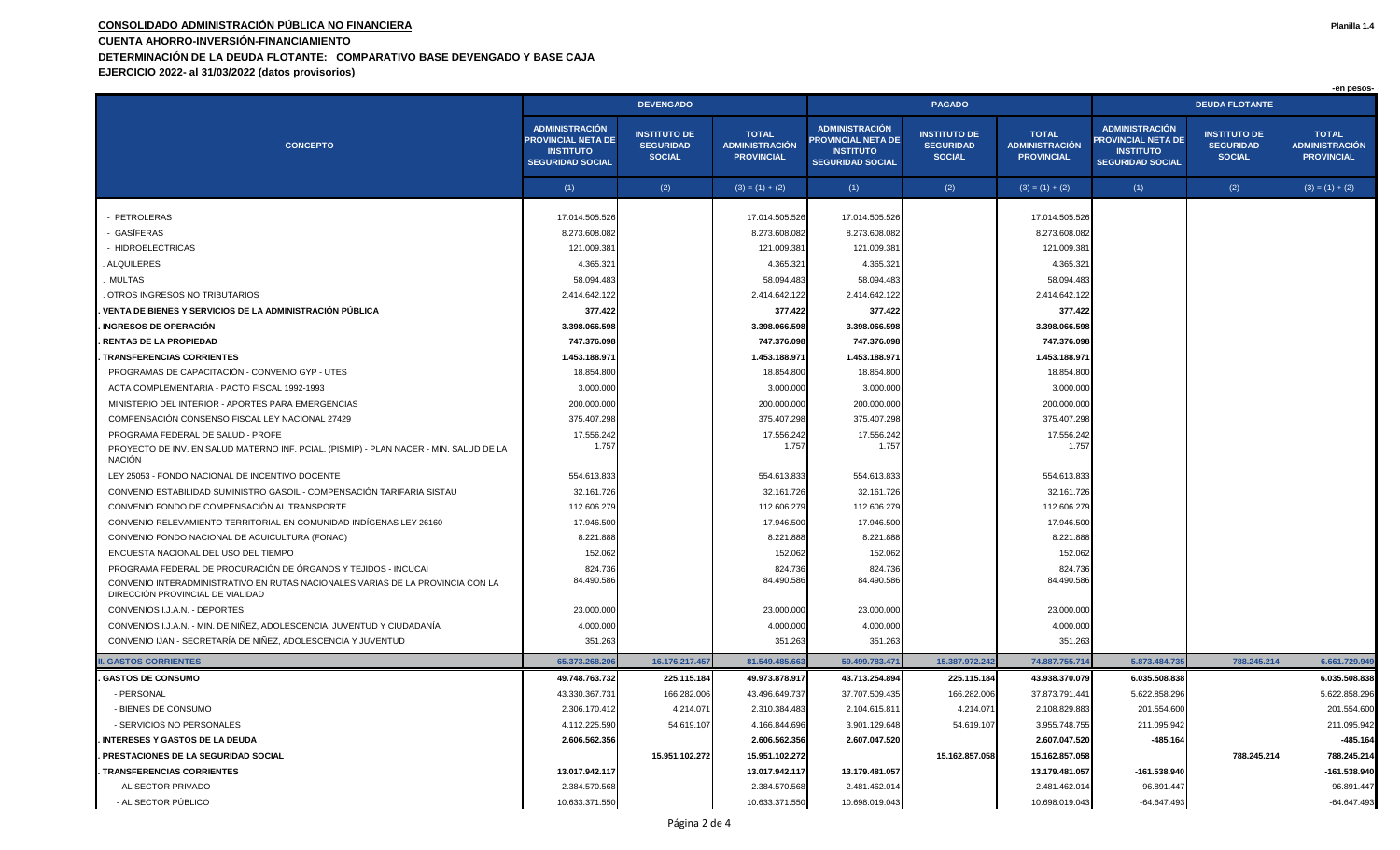## **CONSOLIDADO ADMINISTRACIÓN PÚBLICA NO FINANCIERA Planilla 1.4 CUENTA AHORRO-INVERSIÓN-FINANCIAMIENTO DETERMINACIÓN DE LA DEUDA FLOTANTE: COMPARATIVO BASE DEVENGADO Y BASE CAJA**

**EJERCICIO 2022- al 31/03/2022 (datos provisorios)**

|                                                                                                                    |                                                                                                   |                                                          |                                                            |                                                                                                   |                                                          |                                                            |                                                                                                   |                                                          | -en pesos-                                                 |  |
|--------------------------------------------------------------------------------------------------------------------|---------------------------------------------------------------------------------------------------|----------------------------------------------------------|------------------------------------------------------------|---------------------------------------------------------------------------------------------------|----------------------------------------------------------|------------------------------------------------------------|---------------------------------------------------------------------------------------------------|----------------------------------------------------------|------------------------------------------------------------|--|
|                                                                                                                    | <b>DEVENGADO</b>                                                                                  |                                                          |                                                            |                                                                                                   | <b>PAGADO</b>                                            |                                                            | <b>DEUDA FLOTANTE</b>                                                                             |                                                          |                                                            |  |
| <b>CONCEPTO</b>                                                                                                    | <b>ADMINISTRACIÓN</b><br><b>PROVINCIAL NETA DE</b><br><b>INSTITUTO</b><br><b>SEGURIDAD SOCIAL</b> | <b>INSTITUTO DE</b><br><b>SEGURIDAD</b><br><b>SOCIAL</b> | <b>TOTAL</b><br><b>ADMINISTRACIÓN</b><br><b>PROVINCIAL</b> | <b>ADMINISTRACIÓN</b><br><b>PROVINCIAL NETA DE</b><br><b>INSTITUTO</b><br><b>SEGURIDAD SOCIAL</b> | <b>INSTITUTO DE</b><br><b>SEGURIDAD</b><br><b>SOCIAL</b> | <b>TOTAL</b><br><b>ADMINISTRACIÓN</b><br><b>PROVINCIAL</b> | <b>ADMINISTRACIÓN</b><br><b>PROVINCIAL NETA DE</b><br><b>INSTITUTO</b><br><b>SEGURIDAD SOCIAL</b> | <b>INSTITUTO DE</b><br><b>SEGURIDAD</b><br><b>SOCIAL</b> | <b>TOTAL</b><br><b>ADMINISTRACIÓN</b><br><b>PROVINCIAL</b> |  |
|                                                                                                                    | (1)                                                                                               | (2)                                                      | $(3) = (1) + (2)$                                          | (1)                                                                                               | (2)                                                      | $(3) = (1) + (2)$                                          | (1)                                                                                               | (2)                                                      | $(3) = (1) + (2)$                                          |  |
|                                                                                                                    |                                                                                                   |                                                          |                                                            |                                                                                                   |                                                          |                                                            |                                                                                                   |                                                          |                                                            |  |
| - PETROLERAS<br>· GASÍFERAS                                                                                        | 17.014.505.526<br>8.273.608.082                                                                   |                                                          | 17.014.505.526                                             | 17.014.505.526<br>8.273.608.082                                                                   |                                                          | 17.014.505.52<br>8.273.608.082                             |                                                                                                   |                                                          |                                                            |  |
| - HIDROELÉCTRICAS                                                                                                  | 121.009.381                                                                                       |                                                          | 8.273.608.082<br>121.009.381                               | 121.009.38                                                                                        |                                                          | 121.009.38                                                 |                                                                                                   |                                                          |                                                            |  |
| ALQUILERES                                                                                                         | 4.365.321                                                                                         |                                                          | 4.365.321                                                  | 4.365.32                                                                                          |                                                          | 4.365.32                                                   |                                                                                                   |                                                          |                                                            |  |
| <b>MULTAS</b>                                                                                                      | 58.094.483                                                                                        |                                                          | 58.094.483                                                 | 58.094.483                                                                                        |                                                          | 58.094.48                                                  |                                                                                                   |                                                          |                                                            |  |
| OTROS INGRESOS NO TRIBUTARIOS                                                                                      | 2.414.642.122                                                                                     |                                                          | 2.414.642.122                                              | 2.414.642.122                                                                                     |                                                          | 2.414.642.12                                               |                                                                                                   |                                                          |                                                            |  |
| VENTA DE BIENES Y SERVICIOS DE LA ADMINISTRACIÓN PÚBLICA                                                           | 377.422                                                                                           |                                                          | 377.422                                                    | 377.422                                                                                           |                                                          | 377.422                                                    |                                                                                                   |                                                          |                                                            |  |
| <b>INGRESOS DE OPERACIÓN</b>                                                                                       | 3.398.066.598                                                                                     |                                                          | 3.398.066.598                                              | 3.398.066.598                                                                                     |                                                          | 3.398.066.59                                               |                                                                                                   |                                                          |                                                            |  |
| <b>RENTAS DE LA PROPIEDAD</b>                                                                                      | 747.376.098                                                                                       |                                                          | 747.376.098                                                | 747.376.098                                                                                       |                                                          | 747.376.09                                                 |                                                                                                   |                                                          |                                                            |  |
| <b>TRANSFERENCIAS CORRIENTES</b>                                                                                   | 1.453.188.97                                                                                      |                                                          | 1.453.188.97                                               | 1.453.188.97                                                                                      |                                                          | 1.453.188.97                                               |                                                                                                   |                                                          |                                                            |  |
| PROGRAMAS DE CAPACITACIÓN - CONVENIO GYP - UTES                                                                    | 18.854.800                                                                                        |                                                          | 18.854.800                                                 | 18.854.800                                                                                        |                                                          | 18.854.80                                                  |                                                                                                   |                                                          |                                                            |  |
| ACTA COMPLEMENTARIA - PACTO FISCAL 1992-1993                                                                       | 3.000.000                                                                                         |                                                          | 3.000.000                                                  | 3.000.000                                                                                         |                                                          | 3.000.00                                                   |                                                                                                   |                                                          |                                                            |  |
| MINISTERIO DEL INTERIOR - APORTES PARA EMERGENCIAS                                                                 | 200.000.000                                                                                       |                                                          | 200.000.000                                                | 200.000.000                                                                                       |                                                          | 200.000.00                                                 |                                                                                                   |                                                          |                                                            |  |
| COMPENSACIÓN CONSENSO FISCAL LEY NACIONAL 27429                                                                    | 375.407.298                                                                                       |                                                          | 375.407.298                                                | 375.407.298                                                                                       |                                                          | 375.407.29                                                 |                                                                                                   |                                                          |                                                            |  |
| PROGRAMA FEDERAL DE SALUD - PROFE                                                                                  | 17.556.242                                                                                        |                                                          | 17.556.242                                                 | 17.556.242                                                                                        |                                                          | 17.556.24                                                  |                                                                                                   |                                                          |                                                            |  |
| PROYECTO DE INV. EN SALUD MATERNO INF. PCIAL. (PISMIP) - PLAN NACER - MIN. SALUD DE LA<br><b>NACIÓN</b>            | 1.757                                                                                             |                                                          | 1.757                                                      | 1.757                                                                                             |                                                          | 1.75                                                       |                                                                                                   |                                                          |                                                            |  |
| LEY 25053 - FONDO NACIONAL DE INCENTIVO DOCENTE                                                                    | 554.613.833                                                                                       |                                                          | 554.613.833                                                | 554.613.833                                                                                       |                                                          | 554.613.83                                                 |                                                                                                   |                                                          |                                                            |  |
| CONVENIO ESTABILIDAD SUMINISTRO GASOIL - COMPENSACIÓN TARIFARIA SISTAU                                             | 32.161.726                                                                                        |                                                          | 32.161.726                                                 | 32.161.726                                                                                        |                                                          | 32.161.72                                                  |                                                                                                   |                                                          |                                                            |  |
| CONVENIO FONDO DE COMPENSACIÓN AL TRANSPORTE                                                                       | 112.606.279                                                                                       |                                                          | 112.606.279                                                | 112.606.279                                                                                       |                                                          | 112.606.27                                                 |                                                                                                   |                                                          |                                                            |  |
| CONVENIO RELEVAMIENTO TERRITORIAL EN COMUNIDAD INDÍGENAS LEY 26160                                                 | 17.946.500                                                                                        |                                                          | 17.946.500                                                 | 17.946.500                                                                                        |                                                          | 17.946.50                                                  |                                                                                                   |                                                          |                                                            |  |
| CONVENIO FONDO NACIONAL DE ACUICULTURA (FONAC)                                                                     | 8.221.888                                                                                         |                                                          | 8.221.888                                                  | 8.221.888                                                                                         |                                                          | 8.221.88                                                   |                                                                                                   |                                                          |                                                            |  |
| ENCUESTA NACIONAL DEL USO DEL TIEMPO                                                                               | 152.062                                                                                           |                                                          | 152.062                                                    | 152.062                                                                                           |                                                          | 152.062                                                    |                                                                                                   |                                                          |                                                            |  |
| PROGRAMA FEDERAL DE PROCURACIÓN DE ÓRGANOS Y TEJIDOS - INCUCAI                                                     | 824.736                                                                                           |                                                          | 824.736                                                    | 824.736                                                                                           |                                                          | 824.73                                                     |                                                                                                   |                                                          |                                                            |  |
| CONVENIO INTERADMINISTRATIVO EN RUTAS NACIONALES VARIAS DE LA PROVINCIA CON LA<br>DIRECCIÓN PROVINCIAL DE VIALIDAD | 84.490.586                                                                                        |                                                          | 84.490.586                                                 | 84.490.586                                                                                        |                                                          | 84.490.58                                                  |                                                                                                   |                                                          |                                                            |  |
| CONVENIOS I.J.A.N. - DEPORTES                                                                                      | 23.000.000                                                                                        |                                                          | 23.000.000                                                 | 23.000.000                                                                                        |                                                          | 23.000.00                                                  |                                                                                                   |                                                          |                                                            |  |
| CONVENIOS I.J.A.N. - MIN. DE NIÑEZ, ADOLESCENCIA, JUVENTUD Y CIUDADANÍA                                            | 4.000.000                                                                                         |                                                          | 4.000.000                                                  | 4.000.000                                                                                         |                                                          | 4.000.00                                                   |                                                                                                   |                                                          |                                                            |  |
| CONVENIO IJAN - SECRETARÍA DE NIÑEZ, ADOLESCENCIA Y JUVENTUD                                                       | 351.263                                                                                           |                                                          | 351.263                                                    | 351.263                                                                                           |                                                          | 351.263                                                    |                                                                                                   |                                                          |                                                            |  |
| <b>. GASTOS CORRIENTES</b>                                                                                         | 65,373,268,206                                                                                    | 16.176.217.457                                           | 81.549.485.66                                              | 59.499.783.47                                                                                     | 15.387.972.242                                           | 74.887.755.71                                              | 5.873.484.735                                                                                     | 788.245.21                                               | 6.661.729.949                                              |  |
| <b>GASTOS DE CONSUMO</b>                                                                                           | 49.748.763.732                                                                                    | 225.115.184                                              | 49.973.878.917                                             | 43.713.254.894                                                                                    | 225.115.184                                              | 43.938.370.079                                             | 6.035.508.838                                                                                     |                                                          | 6.035.508.838                                              |  |
| - PERSONAL                                                                                                         | 43.330.367.731                                                                                    | 166.282.006                                              | 43.496.649.737                                             | 37.707.509.435                                                                                    | 166.282.006                                              | 37.873.791.44                                              | 5.622.858.296                                                                                     |                                                          | 5.622.858.296                                              |  |
| - BIENES DE CONSUMO                                                                                                | 2.306.170.412                                                                                     | 4.214.071                                                | 2.310.384.483                                              | 2.104.615.81                                                                                      | 4.214.071                                                | 2.108.829.88                                               | 201.554.600                                                                                       |                                                          | 201.554.600                                                |  |
| - SERVICIOS NO PERSONALES                                                                                          | 4.112.225.590                                                                                     | 54.619.107                                               | 4.166.844.696                                              | 3.901.129.648                                                                                     | 54.619.107                                               | 3.955.748.75                                               | 211.095.942                                                                                       |                                                          | 211.095.942                                                |  |
| <b>INTERESES Y GASTOS DE LA DEUDA</b>                                                                              | 2.606.562.356                                                                                     |                                                          | 2.606.562.356                                              | 2.607.047.520                                                                                     |                                                          | 2.607.047.520                                              | $-485.164$                                                                                        |                                                          | $-485.164$                                                 |  |
| PRESTACIONES DE LA SEGURIDAD SOCIAL                                                                                |                                                                                                   | 15.951.102.272                                           | 15.951.102.272                                             |                                                                                                   | 15.162.857.058                                           | 15.162.857.058                                             |                                                                                                   | 788.245.214                                              | 788.245.214                                                |  |
| <b>TRANSFERENCIAS CORRIENTES</b>                                                                                   | 13.017.942.117                                                                                    |                                                          | 13.017.942.117                                             | 13.179.481.057                                                                                    |                                                          | 13.179.481.05                                              | -161.538.940                                                                                      |                                                          | -161.538.940                                               |  |
| - AL SECTOR PRIVADO                                                                                                | 2.384.570.568                                                                                     |                                                          | 2.384.570.568                                              | 2.481.462.014                                                                                     |                                                          | 2.481.462.01                                               | -96.891.447                                                                                       |                                                          | -96.891.447                                                |  |
| - AL SECTOR PÚBLICO                                                                                                | 10.633.371.550                                                                                    |                                                          | 10.633.371.550                                             | 10.698.019.043                                                                                    |                                                          | 10.698.019.043                                             | $-64.647.493$                                                                                     |                                                          | $-64.647.493$                                              |  |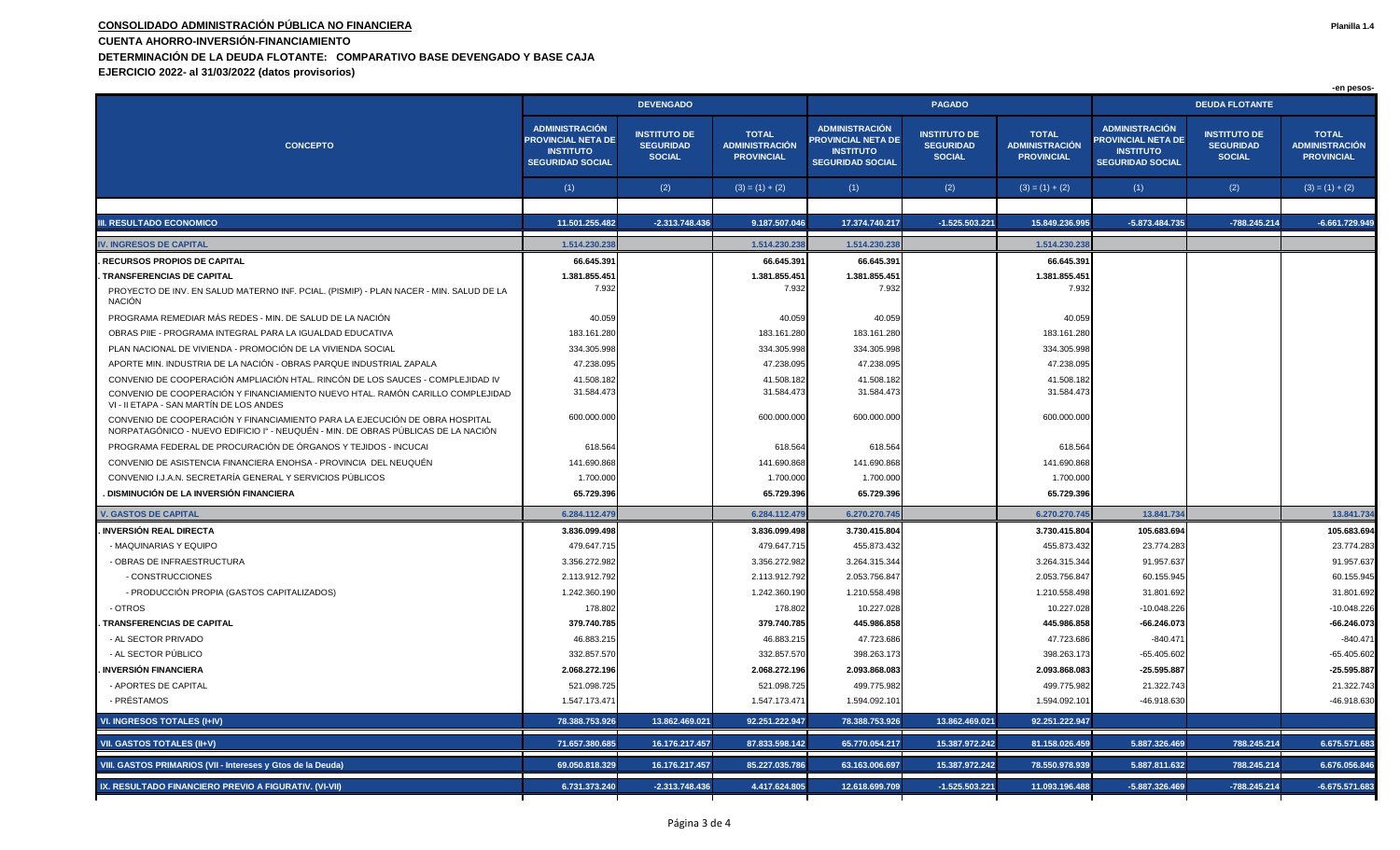## **CONSOLIDADO ADMINISTRACIÓN PÚBLICA NO FINANCIERA Planilla 1.4 CUENTA AHORRO-INVERSIÓN-FINANCIAMIENTO DETERMINACIÓN DE LA DEUDA FLOTANTE: COMPARATIVO BASE DEVENGADO Y BASE CAJA EJERCICIO 2022- al 31/03/2022 (datos provisorios)**

|                                                                                                                                                                  | <b>DEVENGADO</b>                                                                                  |                                                          |                                                            |                                                                                                   | <b>PAGADO</b>                                            |                                                     | <b>DEUDA FLOTANTE</b>                                                                             |                                                          |                                                            |  |
|------------------------------------------------------------------------------------------------------------------------------------------------------------------|---------------------------------------------------------------------------------------------------|----------------------------------------------------------|------------------------------------------------------------|---------------------------------------------------------------------------------------------------|----------------------------------------------------------|-----------------------------------------------------|---------------------------------------------------------------------------------------------------|----------------------------------------------------------|------------------------------------------------------------|--|
| <b>CONCEPTO</b>                                                                                                                                                  | <b>ADMINISTRACIÓN</b><br><b>PROVINCIAL NETA DE</b><br><b>INSTITUTO</b><br><b>SEGURIDAD SOCIAL</b> | <b>INSTITUTO DE</b><br><b>SEGURIDAD</b><br><b>SOCIAL</b> | <b>TOTAL</b><br><b>ADMINISTRACIÓN</b><br><b>PROVINCIAL</b> | <b>ADMINISTRACIÓN</b><br><b>PROVINCIAL NETA DE</b><br><b>INSTITUTO</b><br><b>SEGURIDAD SOCIAL</b> | <b>INSTITUTO DE</b><br><b>SEGURIDAD</b><br><b>SOCIAL</b> | <b>TOTAL</b><br>ADMINISTRACIÓN<br><b>PROVINCIAL</b> | <b>ADMINISTRACIÓN</b><br><b>PROVINCIAL NETA DE</b><br><b>INSTITUTO</b><br><b>SEGURIDAD SOCIAL</b> | <b>INSTITUTO DE</b><br><b>SEGURIDAD</b><br><b>SOCIAL</b> | <b>TOTAL</b><br><b>ADMINISTRACIÓN</b><br><b>PROVINCIAL</b> |  |
|                                                                                                                                                                  | (1)                                                                                               | (2)                                                      | $(3) = (1) + (2)$                                          | (1)                                                                                               | (2)                                                      | $(3) = (1) + (2)$                                   | (1)                                                                                               | (2)                                                      | $(3) = (1) + (2)$                                          |  |
|                                                                                                                                                                  |                                                                                                   |                                                          |                                                            |                                                                                                   |                                                          |                                                     |                                                                                                   |                                                          |                                                            |  |
| <b>III. RESULTADO ECONOMICO</b>                                                                                                                                  | 11.501.255.482                                                                                    | $-2.313.748.436$                                         | 9.187.507.046                                              | 17.374.740.217                                                                                    | $-1.525.503.221$                                         | 15.849.236.995                                      | -5.873.484.735                                                                                    | -788.245.214                                             | $-6.661.729.949$                                           |  |
| <b>IV. INGRESOS DE CAPITAL</b>                                                                                                                                   | 1.514.230.23                                                                                      |                                                          | 1.514.230.23                                               | 1.514.230.23                                                                                      |                                                          | 1.514.230.23                                        |                                                                                                   |                                                          |                                                            |  |
| RECURSOS PROPIOS DE CAPITAL                                                                                                                                      | 66.645.391                                                                                        |                                                          | 66.645.39                                                  | 66.645.391                                                                                        |                                                          | 66.645.391                                          |                                                                                                   |                                                          |                                                            |  |
| <b>TRANSFERENCIAS DE CAPITAL</b>                                                                                                                                 | 1.381.855.451                                                                                     |                                                          | 1.381.855.451                                              | 1.381.855.451                                                                                     |                                                          | 1.381.855.45                                        |                                                                                                   |                                                          |                                                            |  |
| PROYECTO DE INV. EN SALUD MATERNO INF. PCIAL. (PISMIP) - PLAN NACER - MIN. SALUD DE LA<br><b>NACIÓN</b>                                                          | 7.932                                                                                             |                                                          | 7.932                                                      | 7.932                                                                                             |                                                          | 7.932                                               |                                                                                                   |                                                          |                                                            |  |
| PROGRAMA REMEDIAR MÁS REDES - MIN. DE SALUD DE LA NACIÓN                                                                                                         | 40.059                                                                                            |                                                          | 40.05                                                      | 40.05                                                                                             |                                                          | 40.059                                              |                                                                                                   |                                                          |                                                            |  |
| OBRAS PIIE - PROGRAMA INTEGRAL PARA LA IGUALDAD EDUCATIVA                                                                                                        | 183.161.280                                                                                       |                                                          | 183.161.280                                                | 183.161.280                                                                                       |                                                          | 183.161.280                                         |                                                                                                   |                                                          |                                                            |  |
| PLAN NACIONAL DE VIVIENDA - PROMOCIÓN DE LA VIVIENDA SOCIAL                                                                                                      | 334.305.998                                                                                       |                                                          | 334.305.998                                                | 334.305.998                                                                                       |                                                          | 334.305.998                                         |                                                                                                   |                                                          |                                                            |  |
| APORTE MIN. INDUSTRIA DE LA NACIÓN - OBRAS PARQUE INDUSTRIAL ZAPALA                                                                                              | 47.238.095                                                                                        |                                                          | 47.238.095                                                 | 47.238.095                                                                                        |                                                          | 47.238.09                                           |                                                                                                   |                                                          |                                                            |  |
| CONVENIO DE COOPERACIÓN AMPLIACIÓN HTAL. RINCÓN DE LOS SAUCES - COMPLEJIDAD IV                                                                                   | 41.508.182                                                                                        |                                                          | 41.508.182                                                 | 41.508.182                                                                                        |                                                          | 41.508.18                                           |                                                                                                   |                                                          |                                                            |  |
| CONVENIO DE COOPERACIÓN Y FINANCIAMIENTO NUEVO HTAL. RAMÓN CARILLO COMPLEJIDAD<br>VI - II ETAPA - SAN MARTIN DE LOS ANDES                                        | 31.584.473                                                                                        |                                                          | 31.584.473                                                 | 31.584.473                                                                                        |                                                          | 31.584.47                                           |                                                                                                   |                                                          |                                                            |  |
| CONVENIO DE COOPERACIÓN Y FINANCIAMIENTO PARA LA EJECUCIÓN DE OBRA HOSPITAL<br>NORPATAGÓNICO - NUEVO EDIFICIO Iº - NEUQUÉN - MIN. DE OBRAS PÚBLICAS DE LA NACIÓN | 600.000.000                                                                                       |                                                          | 600.000.00                                                 | 600.000.000                                                                                       |                                                          | 600.000.000                                         |                                                                                                   |                                                          |                                                            |  |
| PROGRAMA FEDERAL DE PROCURACIÓN DE ÓRGANOS Y TEJIDOS - INCUCAI                                                                                                   | 618.564                                                                                           |                                                          | 618.564                                                    | 618.564                                                                                           |                                                          | 618.564                                             |                                                                                                   |                                                          |                                                            |  |
| CONVENIO DE ASISTENCIA FINANCIERA ENOHSA - PROVINCIA DEL NEUQUÉN                                                                                                 | 141.690.868                                                                                       |                                                          | 141.690.868                                                | 141.690.868                                                                                       |                                                          | 141.690.868                                         |                                                                                                   |                                                          |                                                            |  |
| CONVENIO I.J.A.N. SECRETARÍA GENERAL Y SERVICIOS PÚBLICOS                                                                                                        | 1.700.000                                                                                         |                                                          | 1.700.00                                                   | 1.700.000                                                                                         |                                                          | 1.700.000                                           |                                                                                                   |                                                          |                                                            |  |
| DISMINUCIÓN DE LA INVERSIÓN FINANCIERA                                                                                                                           | 65.729.396                                                                                        |                                                          | 65.729.396                                                 | 65.729.396                                                                                        |                                                          | 65.729.396                                          |                                                                                                   |                                                          |                                                            |  |
| <b>V. GASTOS DE CAPITAL</b>                                                                                                                                      | 6.284.112.479                                                                                     |                                                          | 6.284.112.479                                              | 6.270.270.745                                                                                     |                                                          | 6.270.270.74                                        | 13.841.734                                                                                        |                                                          | 13.841.734                                                 |  |
| <b>INVERSIÓN REAL DIRECTA</b>                                                                                                                                    | 3.836.099.498                                                                                     |                                                          | 3.836.099.498                                              | 3.730.415.804                                                                                     |                                                          | 3.730.415.804                                       | 105.683.694                                                                                       |                                                          | 105.683.694                                                |  |
| - MAQUINARIAS Y EQUIPO                                                                                                                                           | 479.647.715                                                                                       |                                                          | 479.647.715                                                | 455.873.432                                                                                       |                                                          | 455.873.432                                         | 23.774.283                                                                                        |                                                          | 23.774.283                                                 |  |
| - OBRAS DE INFRAESTRUCTURA                                                                                                                                       | 3.356.272.982                                                                                     |                                                          | 3.356.272.982                                              | 3.264.315.344                                                                                     |                                                          | 3.264.315.34                                        | 91.957.637                                                                                        |                                                          | 91.957.637                                                 |  |
| - CONSTRUCCIONES                                                                                                                                                 | 2.113.912.792                                                                                     |                                                          | 2.113.912.792                                              | 2.053.756.847                                                                                     |                                                          | 2.053.756.84                                        | 60.155.945                                                                                        |                                                          | 60.155.945                                                 |  |
| - PRODUCCIÓN PROPIA (GASTOS CAPITALIZADOS)                                                                                                                       | 1.242.360.190                                                                                     |                                                          | 1.242.360.190                                              | 1.210.558.498                                                                                     |                                                          | 1.210.558.498                                       | 31.801.692                                                                                        |                                                          | 31.801.692                                                 |  |
| - OTROS                                                                                                                                                          | 178.802                                                                                           |                                                          | 178.80                                                     | 10.227.028                                                                                        |                                                          | 10.227.02                                           | $-10.048.226$                                                                                     |                                                          | $-10.048.226$                                              |  |
| <b>TRANSFERENCIAS DE CAPITAL</b>                                                                                                                                 | 379.740.785                                                                                       |                                                          | 379.740.785                                                | 445.986.858                                                                                       |                                                          | 445.986.858                                         | $-66.246.073$                                                                                     |                                                          | $-66.246.073$                                              |  |
| - AL SECTOR PRIVADO                                                                                                                                              | 46.883.21                                                                                         |                                                          | 46.883.215                                                 | 47.723.686                                                                                        |                                                          | 47.723.686                                          | $-840.471$                                                                                        |                                                          | $-840.471$                                                 |  |
| - AL SECTOR PÚBLICO                                                                                                                                              | 332.857.570                                                                                       |                                                          | 332.857.57                                                 | 398.263.173                                                                                       |                                                          | 398.263.17                                          | -65.405.602                                                                                       |                                                          | $-65.405.602$                                              |  |
| <b>INVERSIÓN FINANCIERA</b>                                                                                                                                      | 2.068.272.196                                                                                     |                                                          | 2.068.272.196                                              | 2.093.868.083                                                                                     |                                                          | 2.093.868.083                                       | -25.595.887                                                                                       |                                                          | -25.595.887                                                |  |
| - APORTES DE CAPITAL                                                                                                                                             | 521.098.725                                                                                       |                                                          | 521.098.725                                                | 499.775.982                                                                                       |                                                          | 499.775.982                                         | 21.322.743                                                                                        |                                                          | 21.322.743                                                 |  |
| - PRÉSTAMOS                                                                                                                                                      | 1.547.173.471                                                                                     |                                                          | 1.547.173.471                                              | 1.594.092.101                                                                                     |                                                          | 1.594.092.10                                        | -46.918.630                                                                                       |                                                          | -46.918.630                                                |  |
| VI. INGRESOS TOTALES (I+IV)                                                                                                                                      | 78.388.753.926                                                                                    | 13.862.469.021                                           | 92.251.222.947                                             | 78.388.753.926                                                                                    | 13.862.469.021                                           | 92.251.222.947                                      |                                                                                                   |                                                          |                                                            |  |
| <b>VII. GASTOS TOTALES (II+V)</b>                                                                                                                                | 71.657.380.685                                                                                    | 16.176.217.457                                           | 87.833.598.142                                             | 65.770.054.217                                                                                    | 15.387.972.242                                           | 81.158.026.459                                      | 5.887.326.469                                                                                     | 788.245.214                                              | 6.675.571.683                                              |  |
| VIII. GASTOS PRIMARIOS (VII - Intereses y Gtos de la Deuda)                                                                                                      | 69.050.818.329                                                                                    | 16.176.217.457                                           | 85.227.035.786                                             | 63.163.006.697                                                                                    | 15.387.972.242                                           | 78.550.978.939                                      | 5.887.811.632                                                                                     | 788.245.214                                              | 6.676.056.846                                              |  |
| IX. RESULTADO FINANCIERO PREVIO A FIGURATIV. (VI-VII)                                                                                                            | 6.731.373.240                                                                                     | $-2.313.748.436$                                         | 4.417.624.805                                              | 12.618.699.709                                                                                    | $-1.525.503.221$                                         | 11.093.196.488                                      | -5.887.326.469                                                                                    | $-788.245.214$                                           | $-6.675.571.683$                                           |  |

 **-en pesos-**